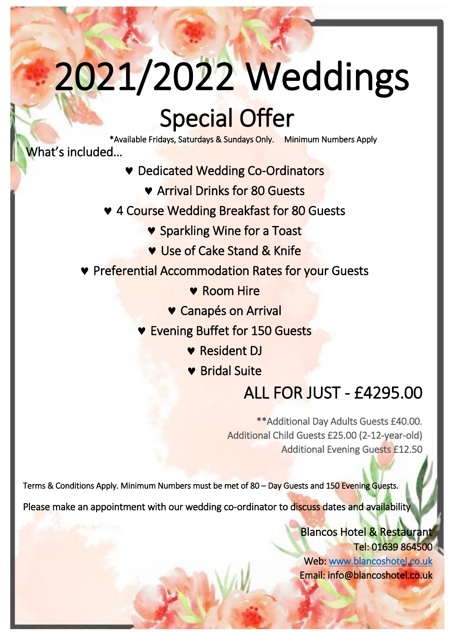# 2021/2022 Weddings

### Special Offer

\*Available Fridays, Saturdays & Sundays Only. Minimum Numbers Apply ĺ What's included…

- .<br>li Dedicated Wedding Co-Ordinators
- **Example 7 Available Fridays School Arrival Drinks for 80 Guests** 
	- **v** 4 Course Wedding Breakfast for 80 Guests<br> **Sparkling Wine for a Toast** 
		- **v** Sparkling Wine for a Toast
		- **v** Use of Cake Stand & Knife
		- **Preferential Accommodation Rates for your Guests** 
			- **v** Room Hire
			- Canapés on Arrival
			- **v** Evening Buffet for 150 Guests
				- **v** Resident DJ
				- Bridal Suite

#### ALL FOR JUST - £4295.00

\*\*Additional Day Adults Guests £40.00. Additional Child Guests £25.00 (2-12-year-old) Additional Evening Guests £12.50

Terms & Conditions Apply. Minimum Numbers must be met of 80 – Day Guests and 150 Evening Guests.

Please make an appointment with our wedding co-ordinator to discuss dates and availability

Blancos Hotel & Restaurant Tel: 01639 864500 Web: www.blancoshotel.co.uk Email: info@blancoshotel.co.uk